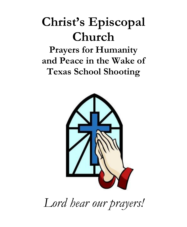# **Christ's Episcopal Church**

**Prayers for Humanity and Peace in the Wake of Texas School Shooting**



*Lord hear our prayers!*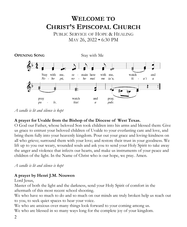## **WELCOME TO CHRIST'S EPISCOPAL CHURCH**

PUBLIC SERVICE OF HOPE & HEALING MAY 26, 2022 • 6:30 PM



*A candle is lit and silence is kept*

#### **A prayer for Uvalde from the Bishop of the Diocese of West Texas.**

O God our Father, whose beloved Son took children into his arms and blessed them: Give us grace to entrust your beloved children of Uvalde to your everlasting care and love, and bring them fully into your heavenly kingdom. Pour out your grace and loving-kindness on all who grieve; surround them with your love; and restore their trust in your goodness. We lift up to you our weary, wounded souls and ask you to send your Holy Spirit to take away the anger and violence that infects our hearts, and make us instruments of your peace and children of the light. In the Name of Christ who is our hope, we pray. Amen.

*A candle is lit and silence is kept*

#### **A prayer by Henri J.M. Nouwen**

Lord Jesus,

Master of both the light and the darkness, send your Holy Spirit of comfort in the aftermath of this most recent school shooting.

We who have so much to do and so much on our minds are truly broken help us reach out to you, to seek quiet spaces to hear your voice.

We who are anxious over many things look forward to your coming among us. We who are blessed in so many ways long for the complete joy of your kingdom.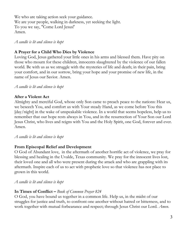We who are taking action seek your guidance. We are your people, walking in darkness, yet seeking the light. To you we say, "Come Lord Jesus!' Amen.

*A candle is lit and silence is kept*

#### **A Prayer for a Child Who Dies by Violence**

Loving God, Jesus gathered your little ones in his arms and blessed them. Have pity on those who mourn for these children, innocents slaughtered by the violence of our fallen world. Be with us as we struggle with the mysteries of life and death; in their pain, bring your comfort, and in our sorrow, bring your hope and your promise of new life, in the name of Jesus our Savior. Amen.

*A candle is lit and silence is kept*

#### **After a Violent Act**

Almighty and merciful God, whose only Son came to preach peace to the nations: Hear us, we beseech You, and comfort us with Your steady Hand, as we come before You this [day/night] in the wake of unspeakable violence. In a world that seems hopeless, help us to remember that our hope rests always in You, and in the resurrection of Your Son our Lord Jesus Christ, who lives and reigns with You and the Holy Spirit, one God, forever and ever. Amen.

#### *A candle is lit and silence is kept*

#### **From Episcopal Relief and Development**

O God of Abundant love, in the aftermath of another horrific act of violence, we pray for blessing and healing in the Uvalde, Texas community. We pray for the innocent lives lost, their loved one and all who were present during the attack and who are grappling with its aftermath. Inspire each of us to act with prophetic love so that violence has not place to grown in this world.

#### *A candle is lit and silence is kept*

#### **In Times of Conflict –** *Book of Common Prayer 824*

O God, you have bound us together in a common life. Help us, in the midst of our struggles for justice and truth, to confront one another without hatred or bitterness, and to work together with mutual forbearance and respect; through Jesus Christ our Lord. *Amen*.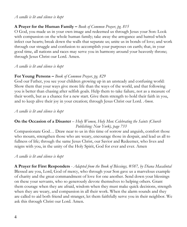#### *A candle is lit and silence is kept*

#### **A Prayer for the Human Family –** *Book of Common Prayer, pg. 815*

O God, you made us in your own image and redeemed us through Jesus your Son: Look with compassion on the whole human family; take away the arrogance and hatred which infect our hearts; break down the walls that separate us; unite us in bonds of love; and work through our struggle and confusion to accomplish your purposes on earth; that, in your good time, all nations and races may serve you in harmony around your heavenly throne; through Jesus Christ our Lord. Amen.

#### *A candle is lit and silence is kept*

#### **For Young Persons –** *Book of Common Prayer, pg. 829*

God our Father, you see your children growing up in an unsteady and confusing world: Show them that your ways give more life than the ways of the world, and that following you is better than chasing after selfish goals. Help them to take failure, not as a measure of their worth, but as a chance for a new start. Give them strength to hold their faith in you, and to keep alive their joy in your creation; through Jesus Christ our Lord. *Amen*.

#### *A candle is lit and silence is kept*

#### **On the Occasion of a Disaster** *– Holy Women, Holy Men: Celebrating the Saints (Church Publishing: New York), page 733*

Compassionate God… Draw near to us in this time of sorrow and anguish, comfort those who mourn, strengthen those who are weary, encourage those in despair, and lead us all to fullness of life; through the same Jesus Christ, our Savior and Redeemer, who lives and reigns with you, in the unity of the Holy Spirit, God for ever and ever. Amen

#### *A candle is lit and silence is kept*

**A Prayer for First Responders** *- Adapted from the Book of Blessings, #587, by Diana Macalintal* Blessed are you, Lord, God of mercy, who through your Son gave us a marvelous example of charity and the great commandment of love for one another. Send down your blessings on these your servants, who so generously devote themselves to helping others. Grant them courage when they are afraid, wisdom when they must make quick decisions, strength when they are weary, and compassion in all their work. When the alarm sounds and they are called to aid both friend and stranger, let them faithfully serve you in their neighbor. We ask this through Christ our Lord. Amen.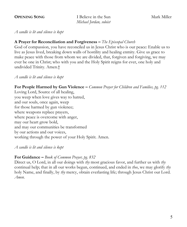**OPENING SONG** I Believe in the Sun Mark Miller *Michael Jordan, soloist*

*A candle is lit and silence is kept*

#### **A Prayer for Reconciliation and Forgiveness –** *The Episcopal Church*

God of compassion, you have reconciled us in Jesus Christ who is our peace: Enable us to live as Jesus lived, breaking down walls of hostility and healing enmity. Give us grace to make peace with those from whom we are divided, that, forgiven and forgiving, we may ever be one in Christ; who with you and the Holy Spirit reigns for ever, one holy and undivided Trinity. Amen.†

*A candle is lit and silence is kept*

#### **For People Harmed by Gun Violence –** *Common Prayer for Children and Families, pg. 112*

Loving Lord, Source of all healing, you weep when love gives way to hatred, and our souls, once again, weep for those harmed by gun violence; where weapons replace prayers, where peace is overcome with anger, may our heart grow bold, and may our communities be transformed by our actions and our voices, working through the power of your Holy Spirit. Amen.

*A candle is lit and silence is kept*

#### **For Guidance –** *Book of Common Prayer, pg. 832*

Direct us, O Lord, in all our doings with *thy* most gracious favor, and further us with *thy*  continual help; that in all our works begun, continued, and ended in *thee*, we may glorify *thy*  holy Name, and finally, by *thy* mercy, obtain everlasting life; through Jesus Christ our Lord. *Amen*.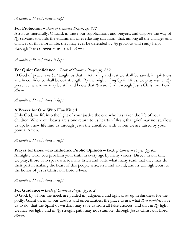#### *A candle is lit and silence is kept*

#### **For Protection –** *Book of Common Prayer, pg. 832*

Assist us mercifully, O Lord, in these our supplications and prayers, and dispose the way of *thy* servants towards the attainment of everlasting salvation; that, among all the changes and chances of this mortal life, they may ever be defended by *thy* gracious and ready help; through Jesus Christ our Lord. *Amen*.

*A candle is lit and silence is kept*

#### **For Quiet Confidence –** *Book of Common Prayer, pg. 832*

O God of peace, *who hast* taught us that in returning and rest we shall be saved, in quietness and in confidence shall be our strength: By the might of *thy* Spirit lift us, we pray *thee*, to *thy*  presence, where we may be still and know that *thou art* God; through Jesus Christ our Lord. *Amen.*

*A candle is lit and silence is kept*

#### **A Prayer for One Who Has Killed**

Holy God, we lift into the light of your justice the one who has taken the life of your children. Where our hearts are stone return to us hearts of flesh; that grief may not swallow us up, but new life find us through Jesus the crucified, with whom we are raised by your power. Amen.

*A candle is lit and silence is kept*

**Prayer for those who Influence Public Opinion –** *Book of Common Prayer, pg. 827* Almighty God, you proclaim your truth in every age by many voices: Direct, in our time, we pray, those who speak where many listen and write what many read; that they may do their part in making the heart of this people wise, its mind sound, and its will righteous; to the honor of Jesus Christ our Lord. *Amen.*

*A candle is lit and silence is kept*

#### **For Guidance –** *Book of Common Prayer, pg. 832*

6 *Amen*.O God, by whom the meek are guided in judgment, and light *riseth* up in darkness for the godly: Grant us, in all our doubts and uncertainties, the grace to ask what *thou wouldest* have us to do, that the Spirit of wisdom may save us from all false choices, and that in *thy* light we may see light, and in *thy* straight path may not stumble; through Jesus Christ our Lord.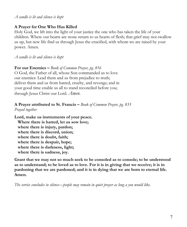#### *A candle is lit and silence is kept*

### **A Prayer for One Who Has Killed**

Holy God, we lift into the light of your justice the one who has taken the life of your children. Where our hearts are stone return to us hearts of flesh; that grief may not swallow us up, but new life find us through Jesus the crucified, with whom we are raised by your power. Amen.

*A candle is lit and silence is kept*

**For our Enemies –** *Book of Common Prayer, pg. 816* O God, the Father of all, whose Son commanded us to love

our enemies: Lead them and us from prejudice to truth; deliver them and us from hatred, cruelty, and revenge; and in your good time enable us all to stand reconciled before you; through Jesus Christ our Lord. *Amen.*

#### **A Prayer attributed to St. Francis –** *Book of Common Prayer, pg. 833 Prayed together*

**Lord, make us instruments of your peace. Where there is hatred, let us sow love; where there is injury, pardon; where there is discord, union; where there is doubt, faith; where there is despair, hope; where there is darkness, light; where there is sadness, joy.** 

**Grant that we may not so much seek to be consoled as to console; to be understood as to understand; to be loved as to love. For it is in giving that we receive; it is in pardoning that we are pardoned; and it is in dying that we are born to eternal life. Amen.**

*The service concludes in silence—people may remain in quiet prayer as long a you would like.*